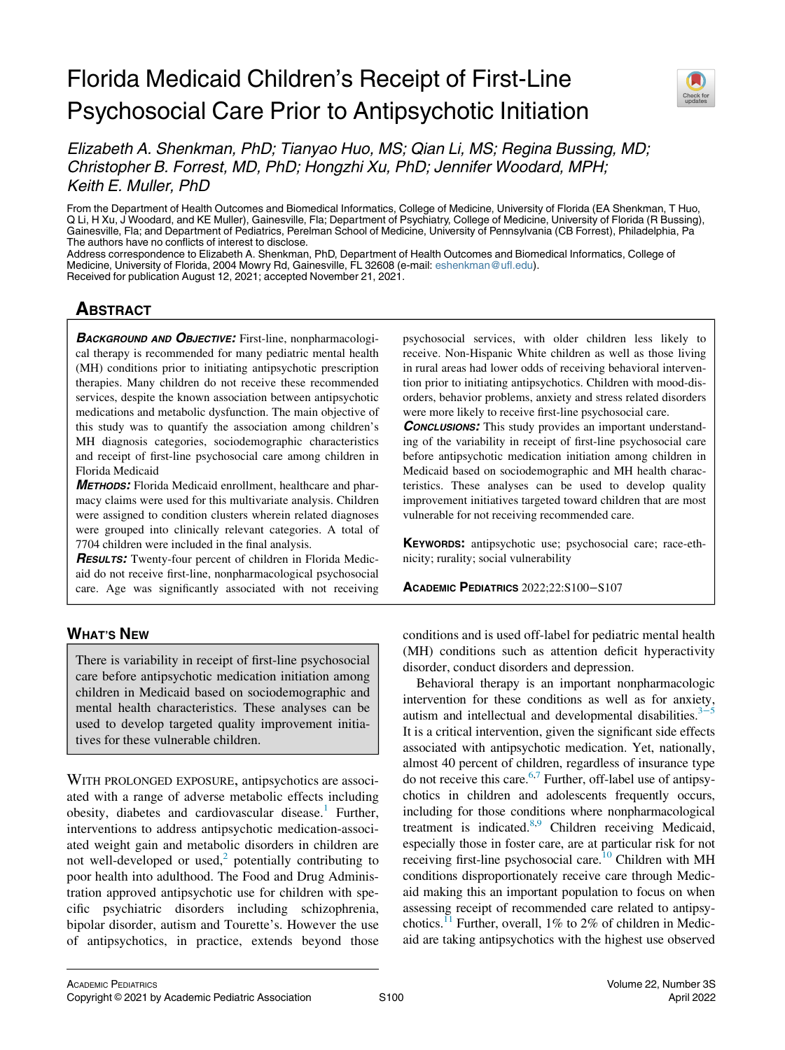## Florida Medicaid Children's Receipt of First-Line Psychosocial Care Prior to Antipsychotic Initiation



Elizabeth A. Shenkman, PhD; Tianyao Huo, MS; Qian Li, MS; Regina Bussing, MD; Christopher B. Forrest, MD, PhD; Hongzhi Xu, PhD; Jennifer Woodard, MPH; Keith E. Muller, PhD

From the Department of Health Outcomes and Biomedical Informatics, College of Medicine, University of Florida (EA Shenkman, T Huo, Q Li, H Xu, J Woodard, and KE Muller), Gainesville, Fla; Department of Psychiatry, College of Medicine, University of Florida (R Bussing), Gainesville, Fla; and Department of Pediatrics, Perelman School of Medicine, University of Pennsylvania (CB Forrest), Philadelphia, Pa The authors have no conflicts of interest to disclose.

Address correspondence to Elizabeth A. Shenkman, PhD, Department of Health Outcomes and Biomedical Informatics, College of Medicine, University of Florida, 2004 Mowry Rd, Gainesville, FL 32608 (e-mail: [eshenkman@ufl.edu](mailto:eshenkman@ufl.edu)). Received for publication August 12, 2021; accepted November 21, 2021.

# <u>ABSOLUTE</u>

BACKGROUND AND OBJECTIVE: First-line, nonpharmacological therapy is recommended for many pediatric mental health (MH) conditions prior to initiating antipsychotic prescription therapies. Many children do not receive these recommended services, despite the known association between antipsychotic medications and metabolic dysfunction. The main objective of this study was to quantify the association among children's MH diagnosis categories, sociodemographic characteristics and receipt of first-line psychosocial care among children in Florida Medicaid

METHODS: Florida Medicaid enrollment, healthcare and pharmacy claims were used for this multivariate analysis. Children were assigned to condition clusters wherein related diagnoses were grouped into clinically relevant categories. A total of 7704 children were included in the final analysis.

**RESULTS:** Twenty-four percent of children in Florida Medicaid do not receive first-line, nonpharmacological psychosocial care. Age was significantly associated with not receiving

## <u>when the new state</u>

There is variability in receipt of first-line psychosocial care before antipsychotic medication initiation among children in Medicaid based on sociodemographic and mental health characteristics. These analyses can be used to develop targeted quality improvement initiatives for these vulnerable children.

WITH PROLONGED EXPOSURE, antipsychotics are associated with a range of adverse metabolic effects including obesity, diabetes and cardiovascular disease.<sup>1</sup> Further, interventions to address antipsychotic medication-associated weight gain and metabolic disorders in children are not well-developed or used, $2$  potentially contributing to poor health into adulthood. The Food and Drug Administration approved antipsychotic use for children with specific psychiatric disorders including schizophrenia, bipolar disorder, autism and Tourette's. However the use of antipsychotics, in practice, extends beyond those

psychosocial services, with older children less likely to receive. Non-Hispanic White children as well as those living in rural areas had lower odds of receiving behavioral intervention prior to initiating antipsychotics. Children with mood-disorders, behavior problems, anxiety and stress related disorders were more likely to receive first-line psychosocial care.

**CONCLUSIONS:** This study provides an important understanding of the variability in receipt of first-line psychosocial care before antipsychotic medication initiation among children in Medicaid based on sociodemographic and MH health characteristics. These analyses can be used to develop quality improvement initiatives targeted toward children that are most vulnerable for not receiving recommended care.

KEYWORDS: antipsychotic use; psychosocial care; race-ethnicity; rurality; social vulnerability

ACADEMIC PEDIATRICS 2022;22:S100−S107

conditions and is used off-label for pediatric mental health (MH) conditions such as attention deficit hyperactivity disorder, conduct disorders and depression.

Behavioral therapy is an important nonpharmacologic intervention for these conditions as well as for anxiety, autism and intellectual and developmental disabilities.<sup>3[−](#page-6-2)</sup> It is a critical intervention, given the significant side effects associated with antipsychotic medication. Yet, nationally, almost 40 percent of children, regardless of insurance type do not receive this care. $6,7$  $6,7$  Further, off-label use of antipsychotics in children and adolescents frequently occurs, including for those conditions where nonpharmacological treatment is indicated.<sup>[8](#page-6-5)[,9](#page-6-6)</sup> Children receiving Medicaid, especially those in foster care, are at particular risk for not receiving first-line psychosocial care.<sup>[10](#page-6-7)</sup> Children with MH conditions disproportionately receive care through Medicaid making this an important population to focus on when assessing receipt of recommended care related to antipsychotics.<sup>11</sup> Further, overall, 1% to 2% of children in Medicaid are taking antipsychotics with the highest use observed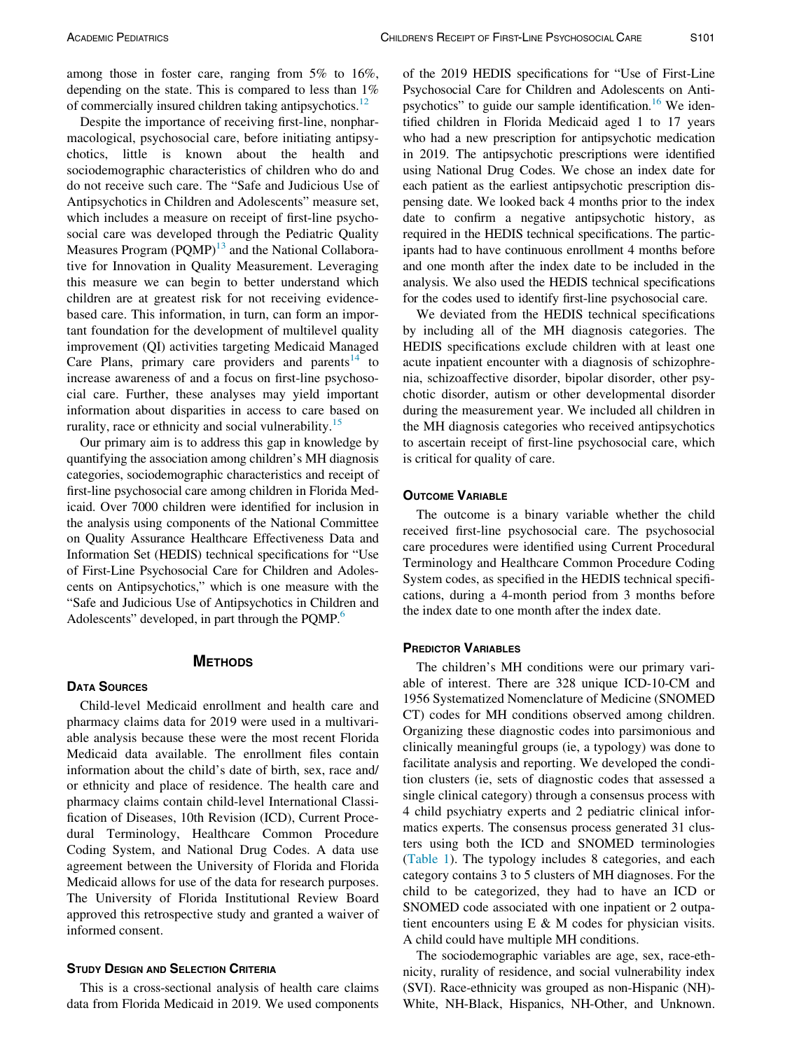among those in foster care, ranging from 5% to 16%, depending on the state. This is compared to less than 1% of commercially insured children taking antipsychotics.<sup>[12](#page-6-9)</sup>

Despite the importance of receiving first-line, nonpharmacological, psychosocial care, before initiating antipsychotics, little is known about the health and sociodemographic characteristics of children who do and do not receive such care. The "Safe and Judicious Use of Antipsychotics in Children and Adolescents" measure set, which includes a measure on receipt of first-line psychosocial care was developed through the Pediatric Quality Measures Program  $(PQMP)^{13}$  $(PQMP)^{13}$  $(PQMP)^{13}$  and the National Collaborative for Innovation in Quality Measurement. Leveraging this measure we can begin to better understand which children are at greatest risk for not receiving evidencebased care. This information, in turn, can form an important foundation for the development of multilevel quality improvement (QI) activities targeting Medicaid Managed Care Plans, primary care providers and parents $14$  to increase awareness of and a focus on first-line psychosocial care. Further, these analyses may yield important information about disparities in access to care based on rurality, race or ethnicity and social vulnerability.<sup>[15](#page-6-12)</sup>

Our primary aim is to address this gap in knowledge by quantifying the association among children's MH diagnosis categories, sociodemographic characteristics and receipt of first-line psychosocial care among children in Florida Medicaid. Over 7000 children were identified for inclusion in the analysis using components of the National Committee on Quality Assurance Healthcare Effectiveness Data and Information Set (HEDIS) technical specifications for "Use of First-Line Psychosocial Care for Children and Adolescents on Antipsychotics," which is one measure with the "Safe and Judicious Use of Antipsychotics in Children and Adolescents" developed, in part through the PQMP.<sup>6</sup>

### **METHODS** METHODS

### **DATA SOURCES**

Child-level Medicaid enrollment and health care and pharmacy claims data for 2019 were used in a multivariable analysis because these were the most recent Florida Medicaid data available. The enrollment files contain information about the child's date of birth, sex, race and/ or ethnicity and place of residence. The health care and pharmacy claims contain child-level International Classification of Diseases, 10th Revision (ICD), Current Procedural Terminology, Healthcare Common Procedure Coding System, and National Drug Codes. A data use agreement between the University of Florida and Florida Medicaid allows for use of the data for research purposes. The University of Florida Institutional Review Board approved this retrospective study and granted a waiver of informed consent.

This is a cross-sectional analysis of health care claims data from Florida Medicaid in 2019. We used components of the 2019 HEDIS specifications for "Use of First-Line Psychosocial Care for Children and Adolescents on Anti-psychotics" to guide our sample identification.<sup>[16](#page-6-13)</sup> We identified children in Florida Medicaid aged 1 to 17 years who had a new prescription for antipsychotic medication in 2019. The antipsychotic prescriptions were identified using National Drug Codes. We chose an index date for each patient as the earliest antipsychotic prescription dispensing date. We looked back 4 months prior to the index date to confirm a negative antipsychotic history, as required in the HEDIS technical specifications. The participants had to have continuous enrollment 4 months before and one month after the index date to be included in the analysis. We also used the HEDIS technical specifications for the codes used to identify first-line psychosocial care.

We deviated from the HEDIS technical specifications by including all of the MH diagnosis categories. The HEDIS specifications exclude children with at least one acute inpatient encounter with a diagnosis of schizophrenia, schizoaffective disorder, bipolar disorder, other psychotic disorder, autism or other developmental disorder during the measurement year. We included all children in the MH diagnosis categories who received antipsychotics to ascertain receipt of first-line psychosocial care, which is critical for quality of care.

The outcome is a binary variable whether the child received first-line psychosocial care. The psychosocial care procedures were identified using Current Procedural Terminology and Healthcare Common Procedure Coding System codes, as specified in the HEDIS technical specifications, during a 4-month period from 3 months before the index date to one month after the index date.

The children's MH conditions were our primary variable of interest. There are 328 unique ICD-10-CM and 1956 Systematized Nomenclature of Medicine (SNOMED CT) codes for MH conditions observed among children. Organizing these diagnostic codes into parsimonious and clinically meaningful groups (ie, a typology) was done to facilitate analysis and reporting. We developed the condition clusters (ie, sets of diagnostic codes that assessed a single clinical category) through a consensus process with 4 child psychiatry experts and 2 pediatric clinical informatics experts. The consensus process generated 31 clusters using both the ICD and SNOMED terminologies ([Table 1](#page-2-0)). The typology includes 8 categories, and each category contains 3 to 5 clusters of MH diagnoses. For the child to be categorized, they had to have an ICD or SNOMED code associated with one inpatient or 2 outpatient encounters using  $E \& M$  codes for physician visits. A child could have multiple MH conditions.

The sociodemographic variables are age, sex, race-ethnicity, rurality of residence, and social vulnerability index (SVI). Race-ethnicity was grouped as non-Hispanic (NH)- White, NH-Black, Hispanics, NH-Other, and Unknown.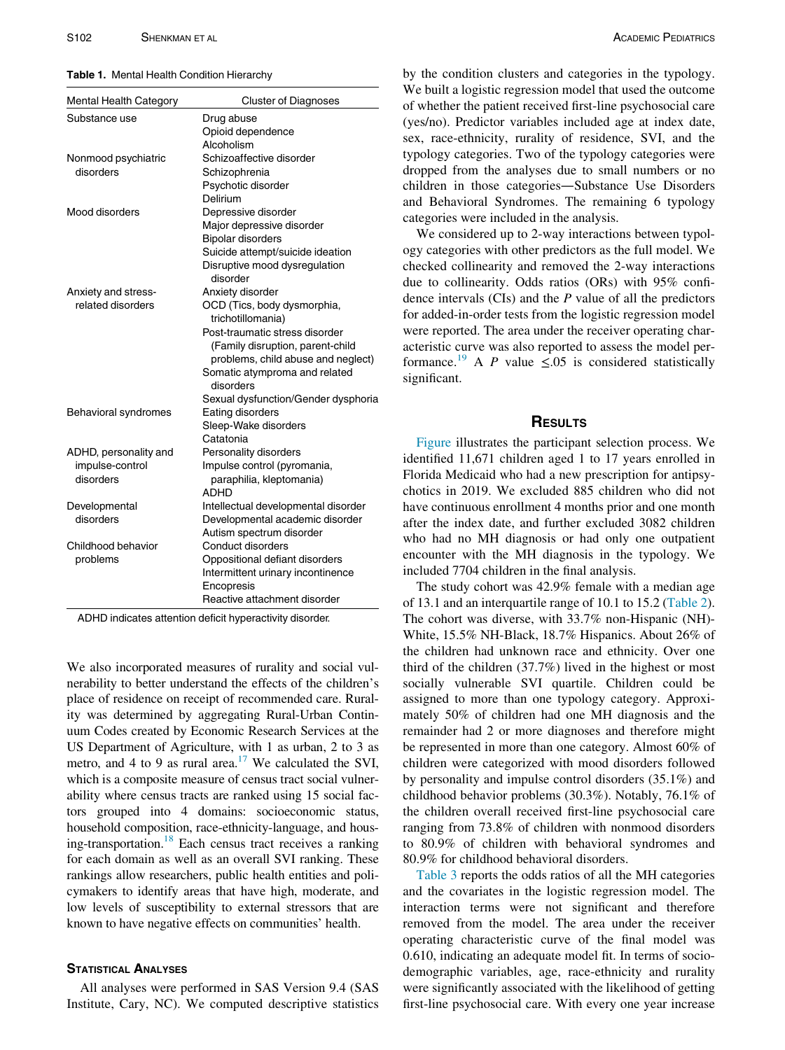<span id="page-2-0"></span>Table 1. Mental Health Condition Hierarchy

| <b>Mental Health Category</b> | <b>Cluster of Diagnoses</b>                                            |
|-------------------------------|------------------------------------------------------------------------|
| Substance use                 | Drug abuse                                                             |
|                               | Opioid dependence                                                      |
|                               | Alcoholism                                                             |
| Nonmood psychiatric           | Schizoaffective disorder                                               |
| disorders                     | Schizophrenia                                                          |
|                               | Psychotic disorder                                                     |
|                               | Delirium                                                               |
| Mood disorders                | Depressive disorder                                                    |
|                               | Major depressive disorder                                              |
|                               | <b>Bipolar disorders</b>                                               |
|                               | Suicide attempt/suicide ideation                                       |
|                               | Disruptive mood dysregulation                                          |
|                               | disorder                                                               |
| Anxiety and stress-           | Anxiety disorder                                                       |
| related disorders             | OCD (Tics, body dysmorphia,                                            |
|                               | trichotillomania)                                                      |
|                               | Post-traumatic stress disorder                                         |
|                               | (Family disruption, parent-child                                       |
|                               | problems, child abuse and neglect)                                     |
|                               | Somatic atymproma and related                                          |
|                               | disorders                                                              |
|                               | Sexual dysfunction/Gender dysphoria                                    |
| Behavioral syndromes          | Eating disorders                                                       |
|                               | Sleep-Wake disorders                                                   |
|                               | Catatonia                                                              |
| ADHD, personality and         | Personality disorders                                                  |
| impulse-control               | Impulse control (pyromania,                                            |
| disorders                     | paraphilia, kleptomania)<br><b>ADHD</b>                                |
|                               |                                                                        |
| Developmental<br>disorders    | Intellectual developmental disorder<br>Developmental academic disorder |
|                               | Autism spectrum disorder                                               |
| Childhood behavior            | Conduct disorders                                                      |
| problems                      | Oppositional defiant disorders                                         |
|                               | Intermittent urinary incontinence                                      |
|                               | Encopresis                                                             |
|                               | Reactive attachment disorder                                           |
|                               |                                                                        |

ADHD indicates attention deficit hyperactivity disorder.

We also incorporated measures of rurality and social vulnerability to better understand the effects of the children's place of residence on receipt of recommended care. Rurality was determined by aggregating Rural-Urban Continuum Codes created by Economic Research Services at the US Department of Agriculture, with 1 as urban, 2 to 3 as metro, and 4 to 9 as rural area.<sup>17</sup> We calculated the SVI, which is a composite measure of census tract social vulnerability where census tracts are ranked using 15 social factors grouped into 4 domains: socioeconomic status, household composition, race-ethnicity-language, and housing-transportation.<sup>18</sup> Each census tract receives a ranking for each domain as well as an overall SVI ranking. These rankings allow researchers, public health entities and policymakers to identify areas that have high, moderate, and low levels of susceptibility to external stressors that are known to have negative effects on communities' health.

All analyses were performed in SAS Version 9.4 (SAS Institute, Cary, NC). We computed descriptive statistics

by the condition clusters and categories in the typology. We built a logistic regression model that used the outcome of whether the patient received first-line psychosocial care (yes/no). Predictor variables included age at index date, sex, race-ethnicity, rurality of residence, SVI, and the typology categories. Two of the typology categories were dropped from the analyses due to small numbers or no children in those categories—Substance Use Disorders and Behavioral Syndromes. The remaining 6 typology categories were included in the analysis.

We considered up to 2-way interactions between typology categories with other predictors as the full model. We checked collinearity and removed the 2-way interactions due to collinearity. Odds ratios (ORs) with 95% confidence intervals  $(CIs)$  and the  $P$  value of all the predictors for added-in-order tests from the logistic regression model were reported. The area under the receiver operating characteristic curve was also reported to assess the model per-formance.<sup>[19](#page-6-16)</sup> A P value  $\leq .05$  is considered statistically significant.

## **RESULTS**

[Figure](#page-3-0) illustrates the participant selection process. We identified 11,671 children aged 1 to 17 years enrolled in Florida Medicaid who had a new prescription for antipsychotics in 2019. We excluded 885 children who did not have continuous enrollment 4 months prior and one month after the index date, and further excluded 3082 children who had no MH diagnosis or had only one outpatient encounter with the MH diagnosis in the typology. We included 7704 children in the final analysis.

The study cohort was 42.9% female with a median age of 13.1 and an interquartile range of 10.1 to 15.2 [\(Table 2](#page-4-0)). The cohort was diverse, with 33.7% non-Hispanic (NH)- White, 15.5% NH-Black, 18.7% Hispanics. About 26% of the children had unknown race and ethnicity. Over one third of the children (37.7%) lived in the highest or most socially vulnerable SVI quartile. Children could be assigned to more than one typology category. Approximately 50% of children had one MH diagnosis and the remainder had 2 or more diagnoses and therefore might be represented in more than one category. Almost 60% of children were categorized with mood disorders followed by personality and impulse control disorders (35.1%) and childhood behavior problems (30.3%). Notably, 76.1% of the children overall received first-line psychosocial care ranging from 73.8% of children with nonmood disorders to 80.9% of children with behavioral syndromes and 80.9% for childhood behavioral disorders.

[Table 3](#page-4-1) reports the odds ratios of all the MH categories and the covariates in the logistic regression model. The interaction terms were not significant and therefore removed from the model. The area under the receiver operating characteristic curve of the final model was 0.610, indicating an adequate model fit. In terms of sociodemographic variables, age, race-ethnicity and rurality were significantly associated with the likelihood of getting first-line psychosocial care. With every one year increase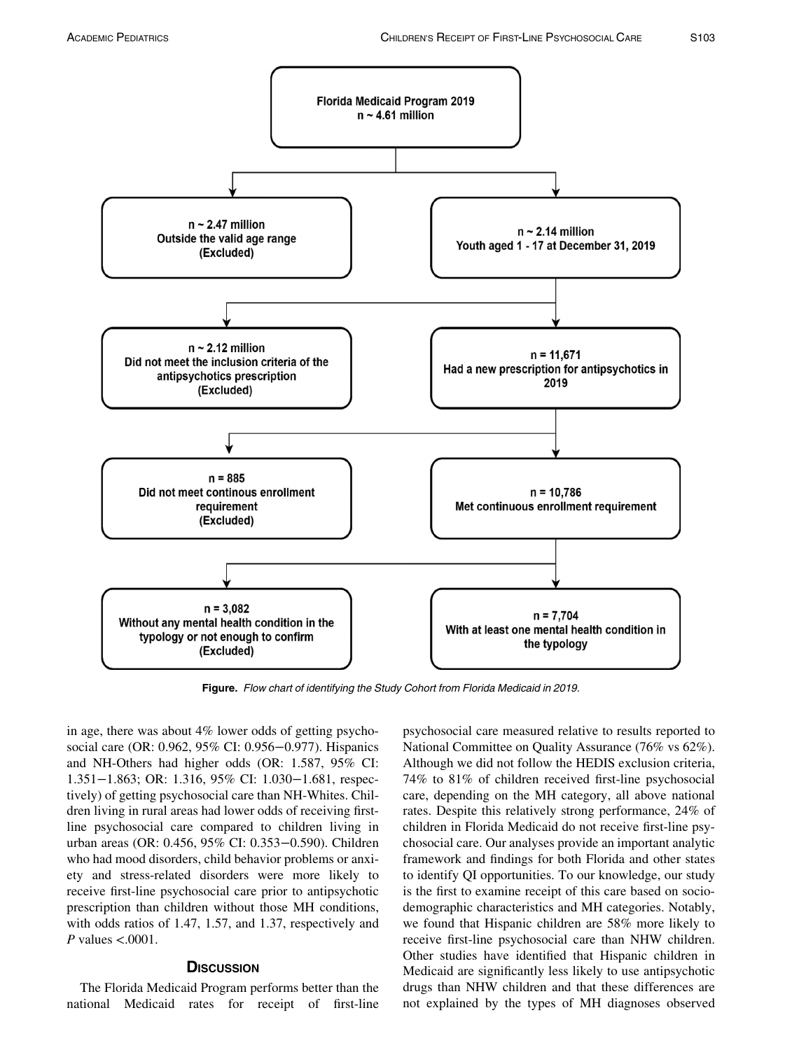<span id="page-3-0"></span>

Figure. Flow chart of identifying the Study Cohort from Florida Medicaid in 2019.

in age, there was about 4% lower odds of getting psychosocial care (OR: 0.962, 95% CI: 0.956−0.977). Hispanics and NH-Others had higher odds (OR: 1.587, 95% CI: 1.351−1.863; OR: 1.316, 95% CI: 1.030−1.681, respectively) of getting psychosocial care than NH-Whites. Children living in rural areas had lower odds of receiving firstline psychosocial care compared to children living in urban areas (OR: 0.456, 95% CI: 0.353−0.590). Children who had mood disorders, child behavior problems or anxiety and stress-related disorders were more likely to receive first-line psychosocial care prior to antipsychotic prescription than children without those MH conditions, with odds ratios of 1.47, 1.57, and 1.37, respectively and P values  $< .0001$ .

## **DISCUSSION**

The Florida Medicaid Program performs better than the national Medicaid rates for receipt of first-line psychosocial care measured relative to results reported to National Committee on Quality Assurance (76% vs 62%). Although we did not follow the HEDIS exclusion criteria, 74% to 81% of children received first-line psychosocial care, depending on the MH category, all above national rates. Despite this relatively strong performance, 24% of children in Florida Medicaid do not receive first-line psychosocial care. Our analyses provide an important analytic framework and findings for both Florida and other states to identify QI opportunities. To our knowledge, our study is the first to examine receipt of this care based on sociodemographic characteristics and MH categories. Notably, we found that Hispanic children are 58% more likely to receive first-line psychosocial care than NHW children. Other studies have identified that Hispanic children in Medicaid are significantly less likely to use antipsychotic drugs than NHW children and that these differences are not explained by the types of MH diagnoses observed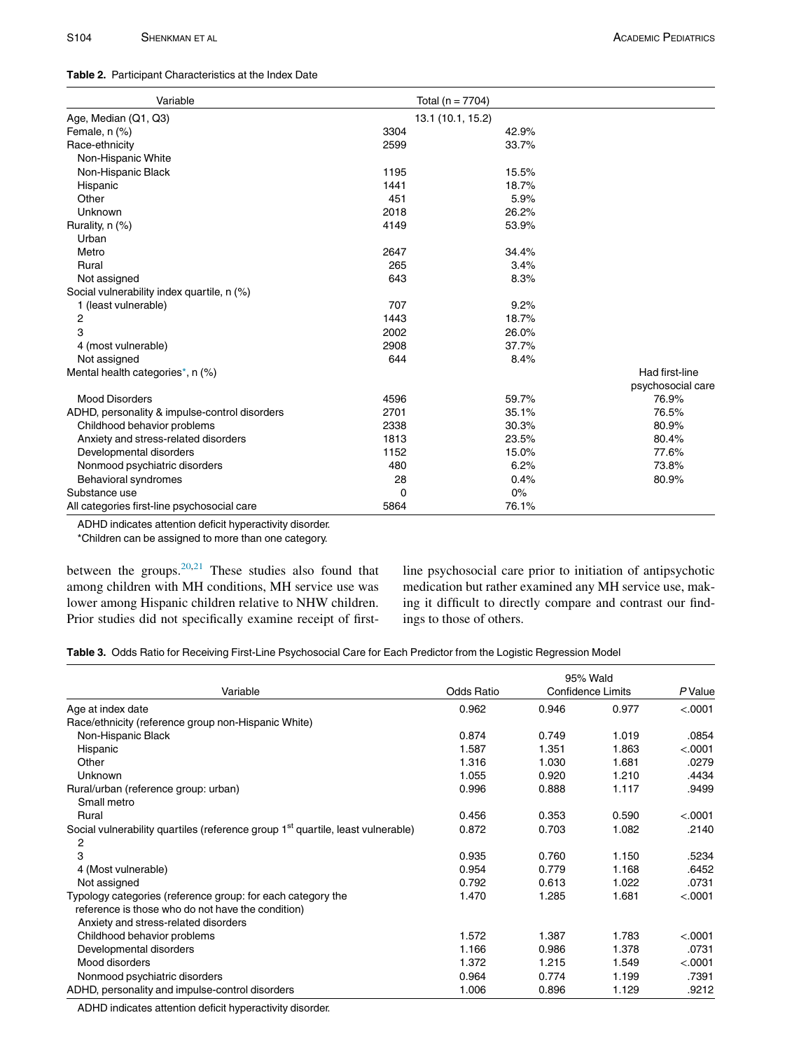<span id="page-4-0"></span>

| Table 2. Participant Characteristics at the Index Date |
|--------------------------------------------------------|
|                                                        |

| Variable                                      | Total ( $n = 7704$ ) |       |                   |
|-----------------------------------------------|----------------------|-------|-------------------|
| Age, Median (Q1, Q3)                          | 13.1 (10.1, 15.2)    |       |                   |
| Female, $n$ $%$                               | 3304                 | 42.9% |                   |
| Race-ethnicity                                | 2599                 | 33.7% |                   |
| Non-Hispanic White                            |                      |       |                   |
| Non-Hispanic Black                            | 1195                 | 15.5% |                   |
| Hispanic                                      | 1441                 | 18.7% |                   |
| Other                                         | 451                  | 5.9%  |                   |
| Unknown                                       | 2018                 | 26.2% |                   |
| Rurality, n (%)                               | 4149                 | 53.9% |                   |
| Urban                                         |                      |       |                   |
| Metro                                         | 2647                 | 34.4% |                   |
| Rural                                         | 265                  | 3.4%  |                   |
| Not assigned                                  | 643                  | 8.3%  |                   |
| Social vulnerability index quartile, n (%)    |                      |       |                   |
| 1 (least vulnerable)                          | 707                  | 9.2%  |                   |
| 2                                             | 1443                 | 18.7% |                   |
| 3                                             | 2002                 | 26.0% |                   |
| 4 (most vulnerable)                           | 2908                 | 37.7% |                   |
| Not assigned                                  | 644                  | 8.4%  |                   |
| Mental health categories*, n (%)              |                      |       | Had first-line    |
|                                               |                      |       | psychosocial care |
| <b>Mood Disorders</b>                         | 4596                 | 59.7% | 76.9%             |
| ADHD, personality & impulse-control disorders | 2701                 | 35.1% | 76.5%             |
| Childhood behavior problems                   | 2338                 | 30.3% | 80.9%             |
| Anxiety and stress-related disorders          | 1813                 | 23.5% | 80.4%             |
| Developmental disorders                       | 1152                 | 15.0% | 77.6%             |
| Nonmood psychiatric disorders                 | 480                  | 6.2%  | 73.8%             |
| Behavioral syndromes                          | 28                   | 0.4%  | 80.9%             |
| Substance use                                 | $\Omega$             | 0%    |                   |
| All categories first-line psychosocial care   | 5864                 | 76.1% |                   |

ADHD indicates attention deficit hyperactivity disorder.

\*Children can be assigned to more than one category.

<span id="page-4-2"></span>between the groups. $20,21$  $20,21$  These studies also found that among children with MH conditions, MH service use was lower among Hispanic children relative to NHW children. Prior studies did not specifically examine receipt of first-

line psychosocial care prior to initiation of antipsychotic medication but rather examined any MH service use, making it difficult to directly compare and contrast our findings to those of others.

<span id="page-4-1"></span>

|  |  |  | Table 3. Odds Ratio for Receiving First-Line Psychosocial Care for Each Predictor from the Logistic Regression Model |  |
|--|--|--|----------------------------------------------------------------------------------------------------------------------|--|
|  |  |  |                                                                                                                      |  |

|                                                                                             | 95% Wald          |                          |       |         |
|---------------------------------------------------------------------------------------------|-------------------|--------------------------|-------|---------|
| Variable                                                                                    | <b>Odds Ratio</b> | <b>Confidence Limits</b> |       | P Value |
| Age at index date                                                                           | 0.962             | 0.946                    | 0.977 | < .0001 |
| Race/ethnicity (reference group non-Hispanic White)                                         |                   |                          |       |         |
| Non-Hispanic Black                                                                          | 0.874             | 0.749                    | 1.019 | .0854   |
| Hispanic                                                                                    | 1.587             | 1.351                    | 1.863 | < .0001 |
| Other                                                                                       | 1.316             | 1.030                    | 1.681 | .0279   |
| Unknown                                                                                     | 1.055             | 0.920                    | 1.210 | .4434   |
| Rural/urban (reference group: urban)                                                        | 0.996             | 0.888                    | 1.117 | .9499   |
| Small metro                                                                                 |                   |                          |       |         |
| Rural                                                                                       | 0.456             | 0.353                    | 0.590 | < .0001 |
| Social vulnerability quartiles (reference group 1 <sup>st</sup> quartile, least vulnerable) | 0.872             | 0.703                    | 1.082 | .2140   |
| 2                                                                                           |                   |                          |       |         |
| 3                                                                                           | 0.935             | 0.760                    | 1.150 | .5234   |
| 4 (Most vulnerable)                                                                         | 0.954             | 0.779                    | 1.168 | .6452   |
| Not assigned                                                                                | 0.792             | 0.613                    | 1.022 | .0731   |
| Typology categories (reference group: for each category the                                 | 1.470             | 1.285                    | 1.681 | < .0001 |
| reference is those who do not have the condition)                                           |                   |                          |       |         |
| Anxiety and stress-related disorders                                                        |                   |                          |       |         |
| Childhood behavior problems                                                                 | 1.572             | 1.387                    | 1.783 | < .0001 |
| Developmental disorders                                                                     | 1.166             | 0.986                    | 1.378 | .0731   |
| Mood disorders                                                                              | 1.372             | 1.215                    | 1.549 | < .0001 |
| Nonmood psychiatric disorders                                                               | 0.964             | 0.774                    | 1.199 | .7391   |
| ADHD, personality and impulse-control disorders                                             | 1.006             | 0.896                    | 1.129 | .9212   |

ADHD indicates attention deficit hyperactivity disorder.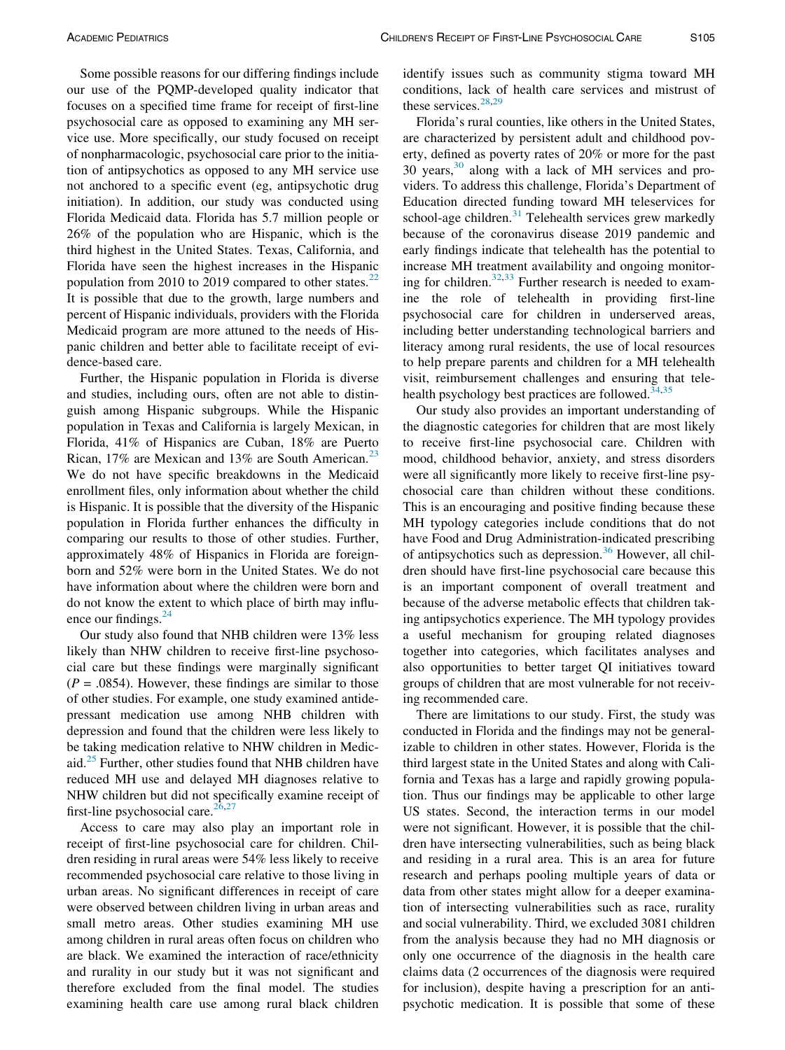Some possible reasons for our differing findings include our use of the PQMP-developed quality indicator that focuses on a specified time frame for receipt of first-line psychosocial care as opposed to examining any MH service use. More specifically, our study focused on receipt of nonpharmacologic, psychosocial care prior to the initiation of antipsychotics as opposed to any MH service use not anchored to a specific event (eg, antipsychotic drug initiation). In addition, our study was conducted using Florida Medicaid data. Florida has 5.7 million people or 26% of the population who are Hispanic, which is the third highest in the United States. Texas, California, and Florida have seen the highest increases in the Hispanic population from 2010 to 2019 compared to other states. $^{22}$  $^{22}$  $^{22}$ It is possible that due to the growth, large numbers and percent of Hispanic individuals, providers with the Florida Medicaid program are more attuned to the needs of Hispanic children and better able to facilitate receipt of evidence-based care.

Further, the Hispanic population in Florida is diverse and studies, including ours, often are not able to distinguish among Hispanic subgroups. While the Hispanic population in Texas and California is largely Mexican, in Florida, 41% of Hispanics are Cuban, 18% are Puerto Rican, 17% are Mexican and 13% are South American.<sup>[23](#page-6-20)</sup> We do not have specific breakdowns in the Medicaid enrollment files, only information about whether the child is Hispanic. It is possible that the diversity of the Hispanic population in Florida further enhances the difficulty in comparing our results to those of other studies. Further, approximately 48% of Hispanics in Florida are foreignborn and 52% were born in the United States. We do not have information about where the children were born and do not know the extent to which place of birth may influence our findings. $^{24}$  $^{24}$  $^{24}$ 

Our study also found that NHB children were 13% less likely than NHW children to receive first-line psychosocial care but these findings were marginally significant  $(P = .0854)$ . However, these findings are similar to those of other studies. For example, one study examined antidepressant medication use among NHB children with depression and found that the children were less likely to be taking medication relative to NHW children in Medicaid.[25](#page-7-0) Further, other studies found that NHB children have reduced MH use and delayed MH diagnoses relative to NHW children but did not specifically examine receipt of first-line psychosocial care. $26,27$  $26,27$ 

Access to care may also play an important role in receipt of first-line psychosocial care for children. Children residing in rural areas were 54% less likely to receive recommended psychosocial care relative to those living in urban areas. No significant differences in receipt of care were observed between children living in urban areas and small metro areas. Other studies examining MH use among children in rural areas often focus on children who are black. We examined the interaction of race/ethnicity and rurality in our study but it was not significant and therefore excluded from the final model. The studies examining health care use among rural black children identify issues such as community stigma toward MH conditions, lack of health care services and mistrust of these services. $28,29$  $28,29$ 

Florida's rural counties, like others in the United States, are characterized by persistent adult and childhood poverty, defined as poverty rates of 20% or more for the past 30 years, $30$  along with a lack of MH services and providers. To address this challenge, Florida's Department of Education directed funding toward MH teleservices for school-age children. $31$  Telehealth services grew markedly because of the coronavirus disease 2019 pandemic and early findings indicate that telehealth has the potential to increase MH treatment availability and ongoing monitor-ing for children.<sup>[32,](#page-7-7)[33](#page-7-8)</sup> Further research is needed to examine the role of telehealth in providing first-line psychosocial care for children in underserved areas, including better understanding technological barriers and literacy among rural residents, the use of local resources to help prepare parents and children for a MH telehealth visit, reimbursement challenges and ensuring that telehealth psychology best practices are followed. $34,35$  $34,35$ 

Our study also provides an important understanding of the diagnostic categories for children that are most likely to receive first-line psychosocial care. Children with mood, childhood behavior, anxiety, and stress disorders were all significantly more likely to receive first-line psychosocial care than children without these conditions. This is an encouraging and positive finding because these MH typology categories include conditions that do not have Food and Drug Administration-indicated prescribing of antipsychotics such as depression.<sup>[36](#page-7-11)</sup> However, all children should have first-line psychosocial care because this is an important component of overall treatment and because of the adverse metabolic effects that children taking antipsychotics experience. The MH typology provides a useful mechanism for grouping related diagnoses together into categories, which facilitates analyses and also opportunities to better target QI initiatives toward groups of children that are most vulnerable for not receiving recommended care.

There are limitations to our study. First, the study was conducted in Florida and the findings may not be generalizable to children in other states. However, Florida is the third largest state in the United States and along with California and Texas has a large and rapidly growing population. Thus our findings may be applicable to other large US states. Second, the interaction terms in our model were not significant. However, it is possible that the children have intersecting vulnerabilities, such as being black and residing in a rural area. This is an area for future research and perhaps pooling multiple years of data or data from other states might allow for a deeper examination of intersecting vulnerabilities such as race, rurality and social vulnerability. Third, we excluded 3081 children from the analysis because they had no MH diagnosis or only one occurrence of the diagnosis in the health care claims data (2 occurrences of the diagnosis were required for inclusion), despite having a prescription for an antipsychotic medication. It is possible that some of these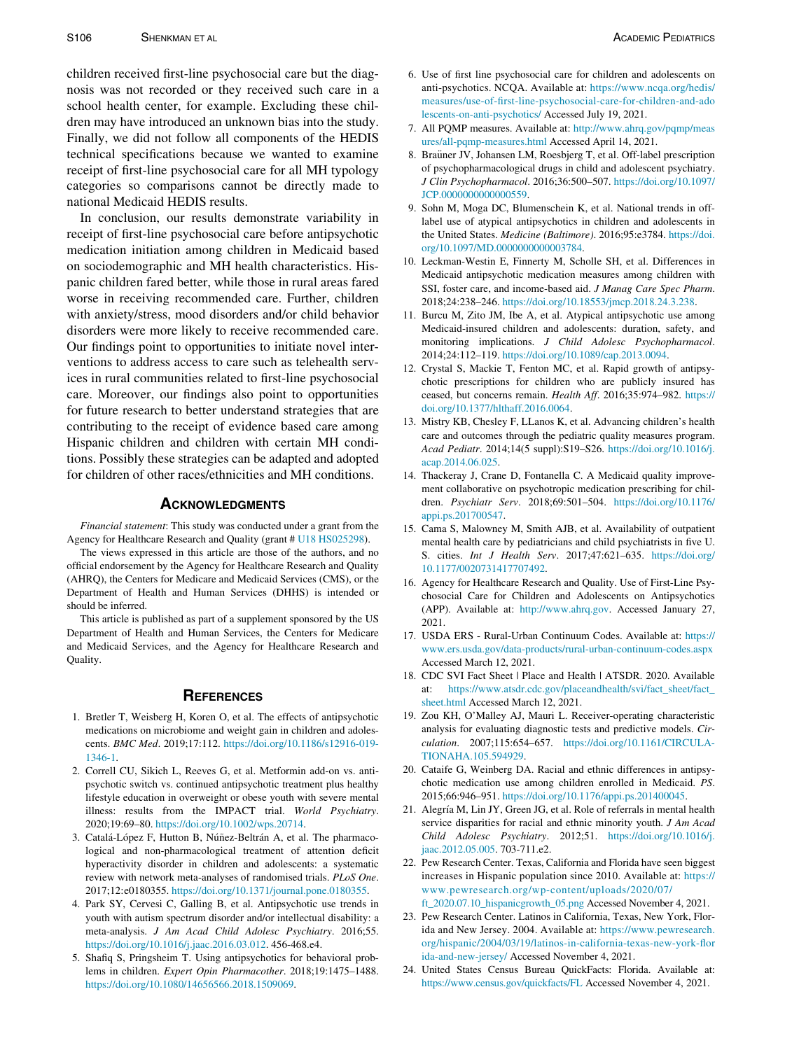<span id="page-6-4"></span><span id="page-6-3"></span>children received first-line psychosocial care but the diagnosis was not recorded or they received such care in a school health center, for example. Excluding these children may have introduced an unknown bias into the study. Finally, we did not follow all components of the HEDIS technical specifications because we wanted to examine receipt of first-line psychosocial care for all MH typology categories so comparisons cannot be directly made to national Medicaid HEDIS results.

<span id="page-6-8"></span><span id="page-6-7"></span><span id="page-6-6"></span><span id="page-6-5"></span>In conclusion, our results demonstrate variability in receipt of first-line psychosocial care before antipsychotic medication initiation among children in Medicaid based on sociodemographic and MH health characteristics. Hispanic children fared better, while those in rural areas fared worse in receiving recommended care. Further, children with anxiety/stress, mood disorders and/or child behavior disorders were more likely to receive recommended care. Our findings point to opportunities to initiate novel interventions to address access to care such as telehealth services in rural communities related to first-line psychosocial care. Moreover, our findings also point to opportunities for future research to better understand strategies that are contributing to the receipt of evidence based care among Hispanic children and children with certain MH conditions. Possibly these strategies can be adapted and adopted for children of other races/ethnicities and MH conditions.

<span id="page-6-22"></span><span id="page-6-12"></span><span id="page-6-11"></span><span id="page-6-10"></span><span id="page-6-9"></span>Financial statement: This study was conducted under a grant from the Agency for Healthcare Research and Quality (grant # [U18 HS025298\)](#page-6-22).

<span id="page-6-13"></span>The views expressed in this article are those of the authors, and no official endorsement by the Agency for Healthcare Research and Quality (AHRQ), the Centers for Medicare and Medicaid Services (CMS), or the Department of Health and Human Services (DHHS) is intended or should be inferred.

<span id="page-6-14"></span>This article is published as part of a supplement sponsored by the US Department of Health and Human Services, the Centers for Medicare and Medicaid Services, and the Agency for Healthcare Research and Quality.

- <span id="page-6-16"></span><span id="page-6-15"></span><span id="page-6-0"></span>1. Bretler T, Weisberg H, Koren O, et al. The effects of antipsychotic medications on microbiome and weight gain in children and adolescents. BMC Med. 2019;17:112. [https://doi.org/10.1186/s12916-019-](https://doi.org/10.1186/s12916-019-1346-1) [1346-1](https://doi.org/10.1186/s12916-019-1346-1).
- <span id="page-6-17"></span><span id="page-6-1"></span>2. Correll CU, Sikich L, Reeves G, et al. Metformin add-on vs. antipsychotic switch vs. continued antipsychotic treatment plus healthy lifestyle education in overweight or obese youth with severe mental illness: results from the IMPACT trial. World Psychiatry. 2020;19:69–80. <https://doi.org/10.1002/wps.20714>.
- <span id="page-6-19"></span><span id="page-6-18"></span><span id="page-6-2"></span>3. Catalá-López F, Hutton B, Núñez-Beltrán A, et al. The pharmacological and non-pharmacological treatment of attention deficit hyperactivity disorder in children and adolescents: a systematic review with network meta-analyses of randomised trials. PLoS One. 2017;12:e0180355. <https://doi.org/10.1371/journal.pone.0180355>.
- <span id="page-6-20"></span>4. Park SY, Cervesi C, Galling B, et al. Antipsychotic use trends in youth with autism spectrum disorder and/or intellectual disability: a meta-analysis. J Am Acad Child Adolesc Psychiatry. 2016;55. <https://doi.org/10.1016/j.jaac.2016.03.012>. 456-468.e4.
- <span id="page-6-21"></span>5. Shafiq S, Pringsheim T. Using antipsychotics for behavioral problems in children. Expert Opin Pharmacother. 2018;19:1475–1488. [https://doi.org/10.1080/14656566.2018.1509069.](https://doi.org/10.1080/14656566.2018.1509069)
- 7. All PQMP measures. Available at: [http://www.ahrq.gov/pqmp/meas](http://www.ahrq.gov/pqmp/measures/all-pqmp-measures.html) [ures/all-pqmp-measures.html](http://www.ahrq.gov/pqmp/measures/all-pqmp-measures.html) Accessed April 14, 2021.
- 8. Braüner JV, Johansen LM, Roesbjerg T, et al. Off-label prescription of psychopharmacological drugs in child and adolescent psychiatry. J Clin Psychopharmacol. 2016;36:500–507. [https://doi.org/10.1097/](https://doi.org/10.1097/JCP.0000000000000559) [JCP.0000000000000559.](https://doi.org/10.1097/JCP.0000000000000559)
- 9. Sohn M, Moga DC, Blumenschein K, et al. National trends in offlabel use of atypical antipsychotics in children and adolescents in the United States. Medicine (Baltimore). 2016;95:e3784. [https://doi.](https://doi.org/10.1097/MD.0000000000003784) [org/10.1097/MD.0000000000003784.](https://doi.org/10.1097/MD.0000000000003784)
- 10. Leckman-Westin E, Finnerty M, Scholle SH, et al. Differences in Medicaid antipsychotic medication measures among children with SSI, foster care, and income-based aid. J Manag Care Spec Pharm. 2018;24:238–246. [https://doi.org/10.18553/jmcp.2018.24.3.238.](https://doi.org/10.18553/jmcp.2018.24.3.238)
- 11. Burcu M, Zito JM, Ibe A, et al. Atypical antipsychotic use among Medicaid-insured children and adolescents: duration, safety, and monitoring implications. J Child Adolesc Psychopharmacol. 2014;24:112–119. [https://doi.org/10.1089/cap.2013.0094.](https://doi.org/10.1089/cap.2013.0094)
- 12. Crystal S, Mackie T, Fenton MC, et al. Rapid growth of antipsychotic prescriptions for children who are publicly insured has ceased, but concerns remain. Health Aff. 2016;35:974–982. [https://](https://doi.org/10.1377/hlthaff.2016.0064) [doi.org/10.1377/hlthaff.2016.0064.](https://doi.org/10.1377/hlthaff.2016.0064)
- 13. Mistry KB, Chesley F, LLanos K, et al. Advancing children's health care and outcomes through the pediatric quality measures program. Acad Pediatr. 2014;14(5 suppl):S19–S26. [https://doi.org/10.1016/j.](https://doi.org/10.1016/j.acap.2014.06.025) [acap.2014.06.025.](https://doi.org/10.1016/j.acap.2014.06.025)
- 14. Thackeray J, Crane D, Fontanella C. A Medicaid quality improvement collaborative on psychotropic medication prescribing for children. Psychiatr Serv. 2018;69:501–504. [https://doi.org/10.1176/](https://doi.org/10.1176/appi.ps.201700547) [appi.ps.201700547](https://doi.org/10.1176/appi.ps.201700547).
- 15. Cama S, Malowney M, Smith AJB, et al. Availability of outpatient mental health care by pediatricians and child psychiatrists in five U. S. cities. Int J Health Serv. 2017;47:621–635. [https://doi.org/](https://doi.org/10.1177/0020731417707492) [10.1177/0020731417707492](https://doi.org/10.1177/0020731417707492).
- 16. Agency for Healthcare Research and Quality. Use of First-Line Psychosocial Care for Children and Adolescents on Antipsychotics (APP). Available at: [http://www.ahrq.gov.](http://www.ahrq.gov) Accessed January 27, 2021.
- 17. USDA ERS Rural-Urban Continuum Codes. Available at: [https://](https://www.ers.usda.gov/data-products/rural-urban-continuum-codes.aspx) [www.ers.usda.gov/data-products/rural-urban-continuum-codes.aspx](https://www.ers.usda.gov/data-products/rural-urban-continuum-codes.aspx) Accessed March 12, 2021.
- 18. CDC SVI Fact Sheet | Place and Health | ATSDR. 2020. Available at: [https://www.atsdr.cdc.gov/placeandhealth/svi/fact\\_sheet/fact\\_](https://www.atsdr.cdc.gov/placeandhealth/svi/fact_sheet/fact_sheet.html) [sheet.html](https://www.atsdr.cdc.gov/placeandhealth/svi/fact_sheet/fact_sheet.html) Accessed March 12, 2021.
- 19. Zou KH, O'Malley AJ, Mauri L. Receiver-operating characteristic analysis for evaluating diagnostic tests and predictive models. Circulation. 2007;115:654–657. [https://doi.org/10.1161/CIRCULA-](https://doi.org/10.1161/CIRCULATIONAHA.105.594929)[TIONAHA.105.594929](https://doi.org/10.1161/CIRCULATIONAHA.105.594929).
- 20. Cataife G, Weinberg DA. Racial and ethnic differences in antipsychotic medication use among children enrolled in Medicaid. PS. 2015;66:946–951. [https://doi.org/10.1176/appi.ps.201400045.](https://doi.org/10.1176/appi.ps.201400045)
- 21. Alegría M, Lin JY, Green JG, et al. Role of referrals in mental health service disparities for racial and ethnic minority youth. J Am Acad Child Adolesc Psychiatry. 2012;51. [https://doi.org/10.1016/j.](https://doi.org/10.1016/j.jaac.2012.05.005) [jaac.2012.05.005](https://doi.org/10.1016/j.jaac.2012.05.005). 703-711.e2.
- 22. Pew Research Center. Texas, California and Florida have seen biggest increases in Hispanic population since 2010. Available at: [https://](https://www.pewresearch.org/wp-content/uploads/2020/07/ft_2020.07.10_hispanicgrowth_05.png) [www.pewresearch.org/wp-content/uploads/2020/07/](https://www.pewresearch.org/wp-content/uploads/2020/07/ft_2020.07.10_hispanicgrowth_05.png) [ft\\_2020.07.10\\_hispanicgrowth\\_05.png](https://www.pewresearch.org/wp-content/uploads/2020/07/ft_2020.07.10_hispanicgrowth_05.png) Accessed November 4, 2021.
- 23. Pew Research Center. Latinos in California, Texas, New York, Florida and New Jersey. 2004. Available at: [https://www.pewresearch.](https://www.pewresearch.org/hispanic/2004/03/19/latinos-in-california-texas-new-york-florida-and-new-jersey/) [org/hispanic/2004/03/19/latinos-in-california-texas-new-york-flor](https://www.pewresearch.org/hispanic/2004/03/19/latinos-in-california-texas-new-york-florida-and-new-jersey/) [ida-and-new-jersey/](https://www.pewresearch.org/hispanic/2004/03/19/latinos-in-california-texas-new-york-florida-and-new-jersey/) Accessed November 4, 2021.
- 24. United States Census Bureau QuickFacts: Florida. Available at: <https://www.census.gov/quickfacts/FL> Accessed November 4, 2021.